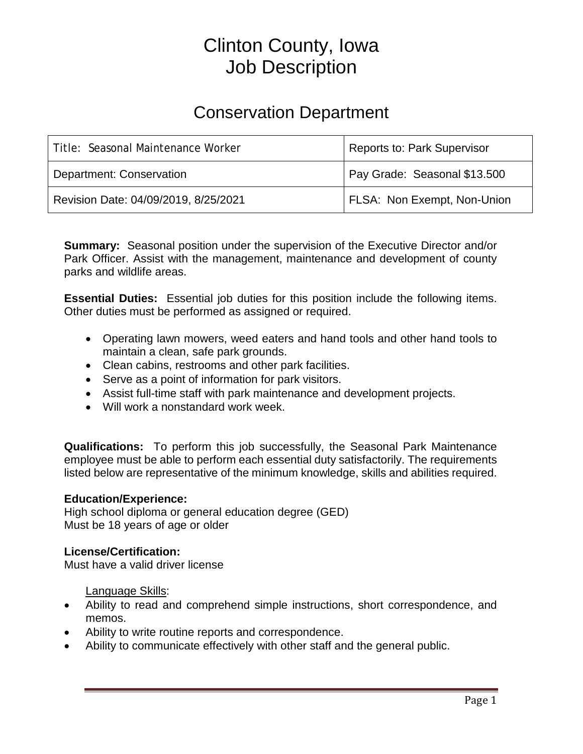# Clinton County, Iowa Job Description

# Conservation Department

| Title: Seasonal Maintenance Worker   | <b>Reports to: Park Supervisor</b> |
|--------------------------------------|------------------------------------|
| <b>Department: Conservation</b>      | Pay Grade: Seasonal \$13.500       |
| Revision Date: 04/09/2019, 8/25/2021 | FLSA: Non Exempt, Non-Union        |

**Summary:** Seasonal position under the supervision of the Executive Director and/or Park Officer. Assist with the management, maintenance and development of county parks and wildlife areas.

**Essential Duties:** Essential job duties for this position include the following items. Other duties must be performed as assigned or required.

- Operating lawn mowers, weed eaters and hand tools and other hand tools to maintain a clean, safe park grounds.
- Clean cabins, restrooms and other park facilities.
- Serve as a point of information for park visitors.
- Assist full-time staff with park maintenance and development projects.
- Will work a nonstandard work week.

**Qualifications:** To perform this job successfully, the Seasonal Park Maintenance employee must be able to perform each essential duty satisfactorily. The requirements listed below are representative of the minimum knowledge, skills and abilities required.

#### **Education/Experience:**

High school diploma or general education degree (GED) Must be 18 years of age or older

#### **License/Certification:**

Must have a valid driver license

Language Skills:

- Ability to read and comprehend simple instructions, short correspondence, and memos.
- Ability to write routine reports and correspondence.
- Ability to communicate effectively with other staff and the general public.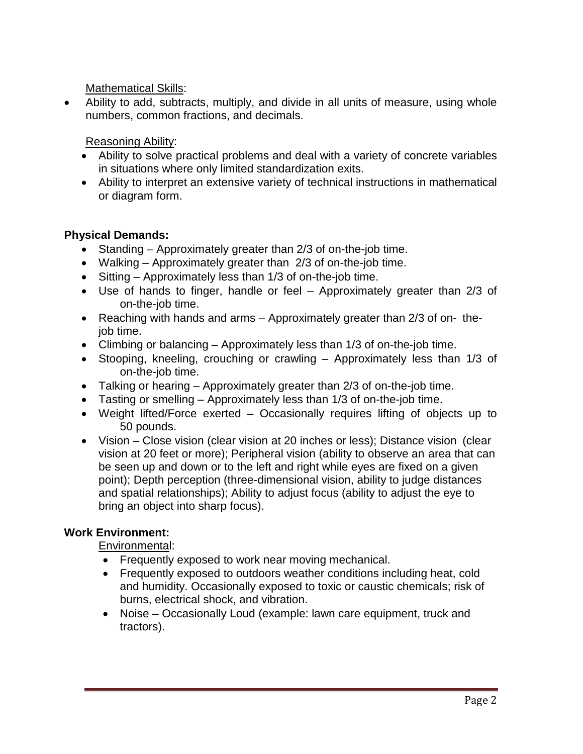Mathematical Skills:

• Ability to add, subtracts, multiply, and divide in all units of measure, using whole numbers, common fractions, and decimals.

Reasoning Ability:

- Ability to solve practical problems and deal with a variety of concrete variables in situations where only limited standardization exits.
- Ability to interpret an extensive variety of technical instructions in mathematical or diagram form.

### **Physical Demands:**

- Standing Approximately greater than 2/3 of on-the-job time.
- Walking Approximately greater than 2/3 of on-the-job time.
- Sitting Approximately less than 1/3 of on-the-job time.
- Use of hands to finger, handle or feel Approximately greater than 2/3 of on-the-job time.
- Reaching with hands and arms Approximately greater than 2/3 of on- thejob time.
- Climbing or balancing Approximately less than 1/3 of on-the-job time.
- Stooping, kneeling, crouching or crawling Approximately less than 1/3 of on-the-job time.
- Talking or hearing Approximately greater than 2/3 of on-the-job time.
- Tasting or smelling Approximately less than 1/3 of on-the-job time.
- Weight lifted/Force exerted Occasionally requires lifting of objects up to 50 pounds.
- Vision Close vision (clear vision at 20 inches or less); Distance vision (clear vision at 20 feet or more); Peripheral vision (ability to observe an area that can be seen up and down or to the left and right while eyes are fixed on a given point); Depth perception (three-dimensional vision, ability to judge distances and spatial relationships); Ability to adjust focus (ability to adjust the eye to bring an object into sharp focus).

## **Work Environment:**

Environmental:

- Frequently exposed to work near moving mechanical.
- Frequently exposed to outdoors weather conditions including heat, cold and humidity. Occasionally exposed to toxic or caustic chemicals; risk of burns, electrical shock, and vibration.
- Noise Occasionally Loud (example: lawn care equipment, truck and tractors).